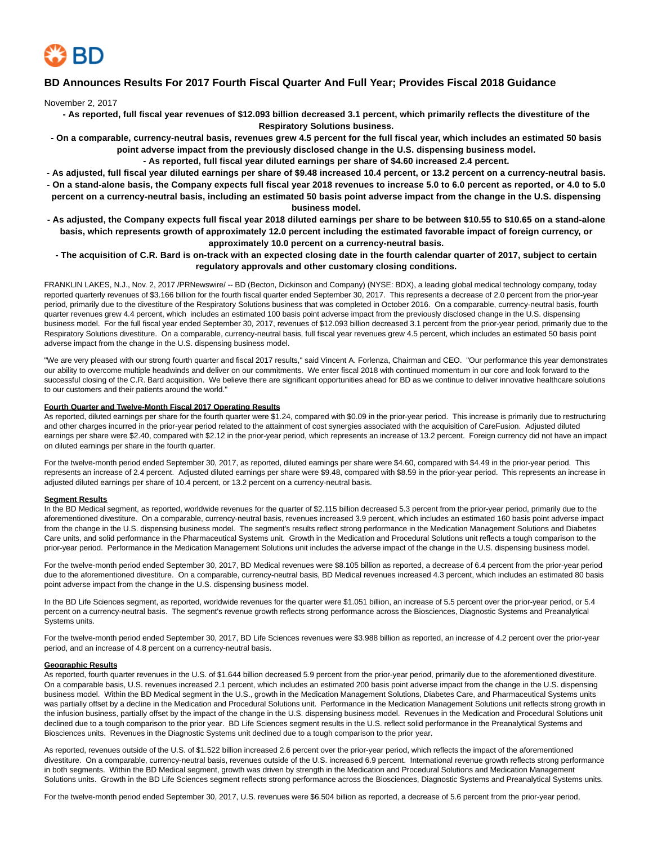

## **BD Announces Results For 2017 Fourth Fiscal Quarter And Full Year; Provides Fiscal 2018 Guidance**

November 2, 2017

- **As reported, full fiscal year revenues of \$12.093 billion decreased 3.1 percent, which primarily reflects the divestiture of the Respiratory Solutions business.**
- **On a comparable, currency-neutral basis, revenues grew 4.5 percent for the full fiscal year, which includes an estimated 50 basis point adverse impact from the previously disclosed change in the U.S. dispensing business model.**
	- **As reported, full fiscal year diluted earnings per share of \$4.60 increased 2.4 percent.**
- **As adjusted, full fiscal year diluted earnings per share of \$9.48 increased 10.4 percent, or 13.2 percent on a currency-neutral basis.**
- **On a stand-alone basis, the Company expects full fiscal year 2018 revenues to increase 5.0 to 6.0 percent as reported, or 4.0 to 5.0 percent on a currency-neutral basis, including an estimated 50 basis point adverse impact from the change in the U.S. dispensing business model.**
- **As adjusted, the Company expects full fiscal year 2018 diluted earnings per share to be between \$10.55 to \$10.65 on a stand-alone basis, which represents growth of approximately 12.0 percent including the estimated favorable impact of foreign currency, or approximately 10.0 percent on a currency-neutral basis.**
	- **The acquisition of C.R. Bard is on-track with an expected closing date in the fourth calendar quarter of 2017, subject to certain regulatory approvals and other customary closing conditions.**

FRANKLIN LAKES, N.J., Nov. 2, 2017 /PRNewswire/ -- BD (Becton, Dickinson and Company) (NYSE: BDX), a leading global medical technology company, today reported quarterly revenues of \$3.166 billion for the fourth fiscal quarter ended September 30, 2017. This represents a decrease of 2.0 percent from the prior-year period, primarily due to the divestiture of the Respiratory Solutions business that was completed in October 2016. On a comparable, currency-neutral basis, fourth quarter revenues grew 4.4 percent, which includes an estimated 100 basis point adverse impact from the previously disclosed change in the U.S. dispensing business model. For the full fiscal year ended September 30, 2017, revenues of \$12.093 billion decreased 3.1 percent from the prior-year period, primarily due to the Respiratory Solutions divestiture. On a comparable, currency-neutral basis, full fiscal year revenues grew 4.5 percent, which includes an estimated 50 basis point adverse impact from the change in the U.S. dispensing business model.

"We are very pleased with our strong fourth quarter and fiscal 2017 results," said Vincent A. Forlenza, Chairman and CEO. "Our performance this year demonstrates our ability to overcome multiple headwinds and deliver on our commitments. We enter fiscal 2018 with continued momentum in our core and look forward to the successful closing of the C.R. Bard acquisition. We believe there are significant opportunities ahead for BD as we continue to deliver innovative healthcare solutions to our customers and their patients around the world."

#### **Fourth Quarter and Twelve-Month Fiscal 2017 Operating Results**

As reported, diluted earnings per share for the fourth quarter were \$1.24, compared with \$0.09 in the prior-year period. This increase is primarily due to restructuring and other charges incurred in the prior-year period related to the attainment of cost synergies associated with the acquisition of CareFusion. Adjusted diluted earnings per share were \$2.40, compared with \$2.12 in the prior-year period, which represents an increase of 13.2 percent. Foreign currency did not have an impact on diluted earnings per share in the fourth quarter.

For the twelve-month period ended September 30, 2017, as reported, diluted earnings per share were \$4.60, compared with \$4.49 in the prior-year period. This represents an increase of 2.4 percent. Adjusted diluted earnings per share were \$9.48, compared with \$8.59 in the prior-year period. This represents an increase in adjusted diluted earnings per share of 10.4 percent, or 13.2 percent on a currency-neutral basis.

#### **Segment Results**

In the BD Medical segment, as reported, worldwide revenues for the quarter of \$2.115 billion decreased 5.3 percent from the prior-year period, primarily due to the aforementioned divestiture. On a comparable, currency-neutral basis, revenues increased 3.9 percent, which includes an estimated 160 basis point adverse impact from the change in the U.S. dispensing business model. The segment's results reflect strong performance in the Medication Management Solutions and Diabetes Care units, and solid performance in the Pharmaceutical Systems unit. Growth in the Medication and Procedural Solutions unit reflects a tough comparison to the prior-year period. Performance in the Medication Management Solutions unit includes the adverse impact of the change in the U.S. dispensing business model.

For the twelve-month period ended September 30, 2017, BD Medical revenues were \$8.105 billion as reported, a decrease of 6.4 percent from the prior-year period due to the aforementioned divestiture. On a comparable, currency-neutral basis, BD Medical revenues increased 4.3 percent, which includes an estimated 80 basis point adverse impact from the change in the U.S. dispensing business model.

In the BD Life Sciences segment, as reported, worldwide revenues for the quarter were \$1.051 billion, an increase of 5.5 percent over the prior-year period, or 5.4 percent on a currency-neutral basis. The segment's revenue growth reflects strong performance across the Biosciences, Diagnostic Systems and Preanalytical Systems units.

For the twelve-month period ended September 30, 2017, BD Life Sciences revenues were \$3.988 billion as reported, an increase of 4.2 percent over the prior-year period, and an increase of 4.8 percent on a currency-neutral basis.

#### **Geographic Results**

As reported, fourth quarter revenues in the U.S. of \$1.644 billion decreased 5.9 percent from the prior-year period, primarily due to the aforementioned divestiture. On a comparable basis, U.S. revenues increased 2.1 percent, which includes an estimated 200 basis point adverse impact from the change in the U.S. dispensing business model. Within the BD Medical segment in the U.S., growth in the Medication Management Solutions, Diabetes Care, and Pharmaceutical Systems units was partially offset by a decline in the Medication and Procedural Solutions unit. Performance in the Medication Management Solutions unit reflects strong growth in the infusion business, partially offset by the impact of the change in the U.S. dispensing business model. Revenues in the Medication and Procedural Solutions unit declined due to a tough comparison to the prior year. BD Life Sciences segment results in the U.S. reflect solid performance in the Preanalytical Systems and Biosciences units. Revenues in the Diagnostic Systems unit declined due to a tough comparison to the prior year.

As reported, revenues outside of the U.S. of \$1.522 billion increased 2.6 percent over the prior-year period, which reflects the impact of the aforementioned divestiture. On a comparable, currency-neutral basis, revenues outside of the U.S. increased 6.9 percent. International revenue growth reflects strong performance in both segments. Within the BD Medical segment, growth was driven by strength in the Medication and Procedural Solutions and Medication Management Solutions units. Growth in the BD Life Sciences segment reflects strong performance across the Biosciences, Diagnostic Systems and Preanalytical Systems units.

For the twelve-month period ended September 30, 2017, U.S. revenues were \$6.504 billion as reported, a decrease of 5.6 percent from the prior-year period,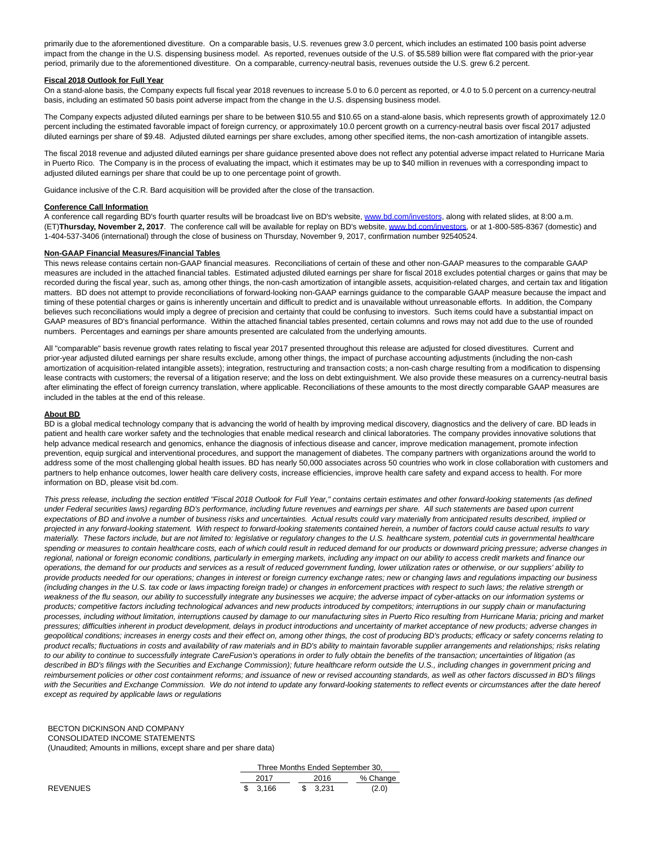primarily due to the aforementioned divestiture. On a comparable basis, U.S. revenues grew 3.0 percent, which includes an estimated 100 basis point adverse impact from the change in the U.S. dispensing business model. As reported, revenues outside of the U.S. of \$5.589 billion were flat compared with the prior-year period, primarily due to the aforementioned divestiture. On a comparable, currency-neutral basis, revenues outside the U.S. grew 6.2 percent.

#### **Fiscal 2018 Outlook for Full Year**

On a stand-alone basis, the Company expects full fiscal year 2018 revenues to increase 5.0 to 6.0 percent as reported, or 4.0 to 5.0 percent on a currency-neutral basis, including an estimated 50 basis point adverse impact from the change in the U.S. dispensing business model.

The Company expects adjusted diluted earnings per share to be between \$10.55 and \$10.65 on a stand-alone basis, which represents growth of approximately 12.0 percent including the estimated favorable impact of foreign currency, or approximately 10.0 percent growth on a currency-neutral basis over fiscal 2017 adjusted diluted earnings per share of \$9.48. Adjusted diluted earnings per share excludes, among other specified items, the non-cash amortization of intangible assets.

The fiscal 2018 revenue and adjusted diluted earnings per share guidance presented above does not reflect any potential adverse impact related to Hurricane Maria in Puerto Rico. The Company is in the process of evaluating the impact, which it estimates may be up to \$40 million in revenues with a corresponding impact to adjusted diluted earnings per share that could be up to one percentage point of growth.

Guidance inclusive of the C.R. Bard acquisition will be provided after the close of the transaction.

#### **Conference Call Information**

A conference call regarding BD's fourth quarter results will be broadcast live on BD's website, [www.bd.com/investors,](http://www.bd.com/investors) along with related slides, at 8:00 a.m. (ET)**Thursday, November 2, 2017**. The conference call will be available for replay on BD's website[, www.bd.com/investors,](http://www.bd.com/investors) or at 1-800-585-8367 (domestic) and 1-404-537-3406 (international) through the close of business on Thursday, November 9, 2017, confirmation number 92540524.

#### **Non-GAAP Financial Measures/Financial Tables**

This news release contains certain non-GAAP financial measures. Reconciliations of certain of these and other non-GAAP measures to the comparable GAAP measures are included in the attached financial tables. Estimated adjusted diluted earnings per share for fiscal 2018 excludes potential charges or gains that may be recorded during the fiscal year, such as, among other things, the non-cash amortization of intangible assets, acquisition-related charges, and certain tax and litigation matters. BD does not attempt to provide reconciliations of forward-looking non-GAAP earnings guidance to the comparable GAAP measure because the impact and timing of these potential charges or gains is inherently uncertain and difficult to predict and is unavailable without unreasonable efforts. In addition, the Company believes such reconciliations would imply a degree of precision and certainty that could be confusing to investors. Such items could have a substantial impact on GAAP measures of BD's financial performance. Within the attached financial tables presented, certain columns and rows may not add due to the use of rounded numbers. Percentages and earnings per share amounts presented are calculated from the underlying amounts.

All "comparable" basis revenue growth rates relating to fiscal year 2017 presented throughout this release are adjusted for closed divestitures. Current and prior-year adjusted diluted earnings per share results exclude, among other things, the impact of purchase accounting adjustments (including the non-cash amortization of acquisition-related intangible assets); integration, restructuring and transaction costs; a non-cash charge resulting from a modification to dispensing lease contracts with customers; the reversal of a litigation reserve; and the loss on debt extinguishment. We also provide these measures on a currency-neutral basis after eliminating the effect of foreign currency translation, where applicable. Reconciliations of these amounts to the most directly comparable GAAP measures are included in the tables at the end of this release.

#### **About BD**

BD is a global medical technology company that is advancing the world of health by improving medical discovery, diagnostics and the delivery of care. BD leads in patient and health care worker safety and the technologies that enable medical research and clinical laboratories. The company provides innovative solutions that help advance medical research and genomics, enhance the diagnosis of infectious disease and cancer, improve medication management, promote infection prevention, equip surgical and interventional procedures, and support the management of diabetes. The company partners with organizations around the world to address some of the most challenging global health issues. BD has nearly 50,000 associates across 50 countries who work in close collaboration with customers and partners to help enhance outcomes, lower health care delivery costs, increase efficiencies, improve health care safety and expand access to health. For more information on BD, please visit bd.com.

This press release, including the section entitled "Fiscal 2018 Outlook for Full Year," contains certain estimates and other forward-looking statements (as defined under Federal securities laws) regarding BD's performance, including future revenues and earnings per share. All such statements are based upon current expectations of BD and involve a number of business risks and uncertainties. Actual results could vary materially from anticipated results described, implied or projected in any forward-looking statement. With respect to forward-looking statements contained herein, a number of factors could cause actual results to vary materially. These factors include, but are not limited to: legislative or regulatory changes to the U.S. healthcare system, potential cuts in governmental healthcare spending or measures to contain healthcare costs, each of which could result in reduced demand for our products or downward pricing pressure; adverse changes in regional, national or foreign economic conditions, particularly in emerging markets, including any impact on our ability to access credit markets and finance our operations, the demand for our products and services as a result of reduced government funding, lower utilization rates or otherwise, or our suppliers' ability to provide products needed for our operations; changes in interest or foreign currency exchange rates; new or changing laws and regulations impacting our business (including changes in the U.S. tax code or laws impacting foreign trade) or changes in enforcement practices with respect to such laws; the relative strength or weakness of the flu season, our ability to successfully integrate any businesses we acquire; the adverse impact of cyber-attacks on our information systems or products; competitive factors including technological advances and new products introduced by competitors; interruptions in our supply chain or manufacturing processes, including without limitation, interruptions caused by damage to our manufacturing sites in Puerto Rico resulting from Hurricane Maria; pricing and market pressures; difficulties inherent in product development, delays in product introductions and uncertainty of market acceptance of new products; adverse changes in geopolitical conditions; increases in energy costs and their effect on, among other things, the cost of producing BD's products; efficacy or safety concerns relating to product recalls; fluctuations in costs and availability of raw materials and in BD's ability to maintain favorable supplier arrangements and relationships; risks relating to our ability to continue to successfully integrate CareFusion's operations in order to fully obtain the benefits of the transaction; uncertainties of litigation (as described in BD's filings with the Securities and Exchange Commission); future healthcare reform outside the U.S., including changes in government pricing and reimbursement policies or other cost containment reforms; and issuance of new or revised accounting standards, as well as other factors discussed in BD's filings with the Securities and Exchange Commission. We do not intend to update any forward-looking statements to reflect events or circumstances after the date hereof except as required by applicable laws or regulations

#### BECTON DICKINSON AND COMPANY CONSOLIDATED INCOME STATEMENTS (Unaudited; Amounts in millions, except share and per share data)

|  | Three Months Ended September 30, |  |  |          |  |          |  |  |  |  |  |
|--|----------------------------------|--|--|----------|--|----------|--|--|--|--|--|
|  | 2017                             |  |  | 2016     |  | % Change |  |  |  |  |  |
|  | \$ 3.166                         |  |  | \$ 3.231 |  | (2.0)    |  |  |  |  |  |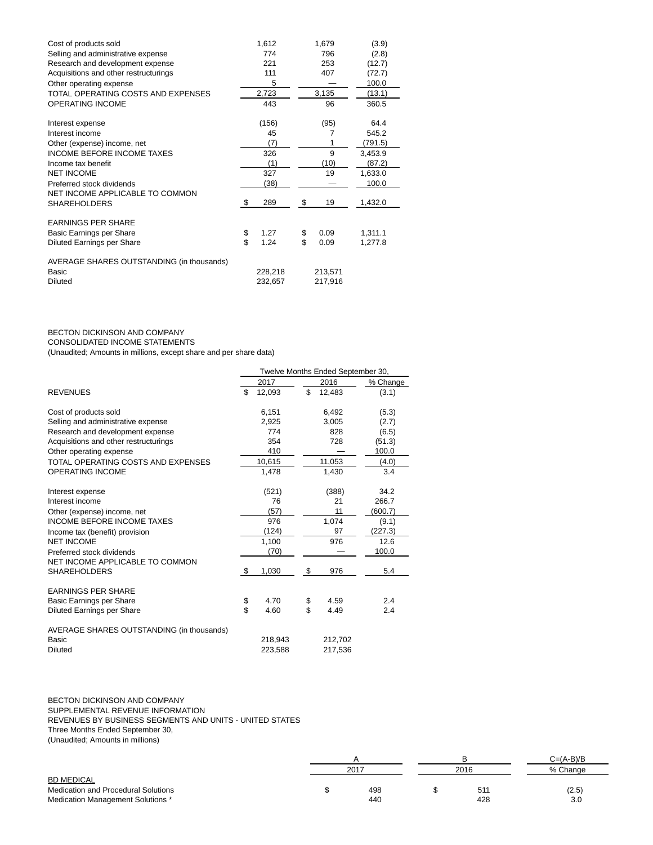| Cost of products sold                     | 1,612      | 1,679      | (3.9)   |
|-------------------------------------------|------------|------------|---------|
| Selling and administrative expense        | 774        | 796        | (2.8)   |
| Research and development expense          | 221        | 253        | (12.7)  |
| Acquisitions and other restructurings     | 111        | 407        | (72.7)  |
| Other operating expense                   | 5          |            | 100.0   |
| TOTAL OPERATING COSTS AND EXPENSES        | 2,723      | 3,135      | (13.1)  |
| OPERATING INCOME                          | 443        | 96         | 360.5   |
| Interest expense                          | (156)      | (95)       | 64.4    |
| Interest income                           | 45         | 7          | 545.2   |
| Other (expense) income, net               | (7)        | 1          | (791.5) |
| <b>INCOME BEFORE INCOME TAXES</b>         | 326        | 9          | 3,453.9 |
| Income tax benefit                        | (1)        | (10)       | (87.2)  |
| <b>NET INCOME</b>                         | 327        | 19         | 1,633.0 |
| Preferred stock dividends                 | (38)       |            | 100.0   |
| NET INCOME APPLICABLE TO COMMON           |            |            |         |
| <b>SHAREHOLDERS</b>                       | \$<br>289  | \$<br>19   | 1,432.0 |
| <b>EARNINGS PER SHARE</b>                 |            |            |         |
| Basic Earnings per Share                  | \$<br>1.27 | \$<br>0.09 | 1,311.1 |
| <b>Diluted Earnings per Share</b>         | \$<br>1.24 | \$<br>0.09 | 1,277.8 |
| AVERAGE SHARES OUTSTANDING (in thousands) |            |            |         |
| Basic                                     | 228,218    | 213,571    |         |
| <b>Diluted</b>                            | 232,657    | 217,916    |         |

# BECTON DICKINSON AND COMPANY

CONSOLIDATED INCOME STATEMENTS

(Unaudited; Amounts in millions, except share and per share data)

|                                           | Twelve Months Ended September 30, |         |    |         |          |  |  |  |  |
|-------------------------------------------|-----------------------------------|---------|----|---------|----------|--|--|--|--|
|                                           |                                   | 2017    |    | 2016    | % Change |  |  |  |  |
| <b>REVENUES</b>                           | \$                                | 12,093  | \$ | 12,483  | (3.1)    |  |  |  |  |
| Cost of products sold                     |                                   | 6,151   |    | 6,492   | (5.3)    |  |  |  |  |
| Selling and administrative expense        |                                   | 2,925   |    | 3,005   | (2.7)    |  |  |  |  |
| Research and development expense          |                                   | 774     |    | 828     | (6.5)    |  |  |  |  |
| Acquisitions and other restructurings     |                                   | 354     |    | 728     | (51.3)   |  |  |  |  |
| Other operating expense                   |                                   | 410     |    |         | 100.0    |  |  |  |  |
| TOTAL OPERATING COSTS AND EXPENSES        |                                   | 10,615  |    | 11,053  | (4.0)    |  |  |  |  |
| <b>OPERATING INCOME</b>                   |                                   | 1,478   |    | 1,430   | 3.4      |  |  |  |  |
| Interest expense                          |                                   | (521)   |    | (388)   | 34.2     |  |  |  |  |
| Interest income                           |                                   | 76      |    | 21      | 266.7    |  |  |  |  |
| Other (expense) income, net               |                                   | (57)    |    | 11      | (600.7)  |  |  |  |  |
| <b>INCOME BEFORE INCOME TAXES</b>         |                                   | 976     |    | 1,074   | (9.1)    |  |  |  |  |
| Income tax (benefit) provision            |                                   | (124)   |    | 97      | (227.3)  |  |  |  |  |
| <b>NET INCOME</b>                         |                                   | 1,100   |    | 976     | 12.6     |  |  |  |  |
| Preferred stock dividends                 |                                   | (70)    |    |         | 100.0    |  |  |  |  |
| NET INCOME APPLICABLE TO COMMON           |                                   |         |    |         |          |  |  |  |  |
| <b>SHAREHOLDERS</b>                       | - \$                              | 1,030   | \$ | 976     | 5.4      |  |  |  |  |
| <b>EARNINGS PER SHARE</b>                 |                                   |         |    |         |          |  |  |  |  |
| Basic Earnings per Share                  | \$                                | 4.70    | \$ | 4.59    | 2.4      |  |  |  |  |
| Diluted Earnings per Share                | \$                                | 4.60    | \$ | 4.49    | 2.4      |  |  |  |  |
| AVERAGE SHARES OUTSTANDING (in thousands) |                                   |         |    |         |          |  |  |  |  |
| Basic                                     |                                   | 218,943 |    | 212,702 |          |  |  |  |  |
| <b>Diluted</b>                            |                                   | 223,588 |    | 217,536 |          |  |  |  |  |

BECTON DICKINSON AND COMPANY SUPPLEMENTAL REVENUE INFORMATION REVENUES BY BUSINESS SEGMENTS AND UNITS - UNITED STATES Three Months Ended September 30, (Unaudited; Amounts in millions)

|      |     |  |     | $C = (A-B)/B$ |  |  |
|------|-----|--|-----|---------------|--|--|
| 2017 |     |  |     | % Change      |  |  |
|      |     |  |     |               |  |  |
|      | 498 |  | 511 | (2.5)         |  |  |
|      | 440 |  | 428 | 3.0           |  |  |
|      |     |  |     | 2016          |  |  |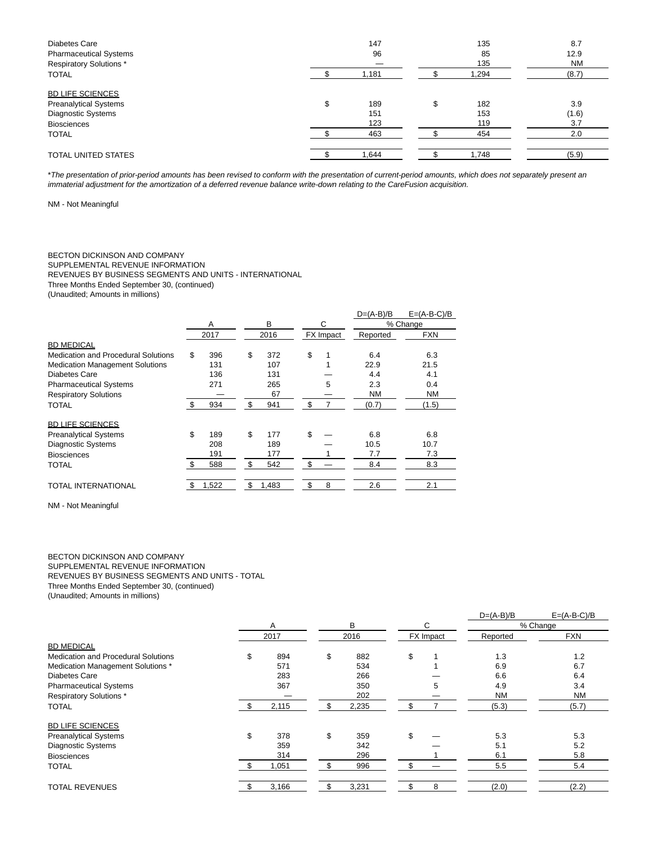| Diabetes Care<br><b>Pharmaceutical Systems</b><br><b>Respiratory Solutions *</b>                                    | 147<br>96                      | 135<br>85<br>135               | 8.7<br>12.9<br><b>NM</b>   |
|---------------------------------------------------------------------------------------------------------------------|--------------------------------|--------------------------------|----------------------------|
| <b>TOTAL</b>                                                                                                        | 1,181                          | 1,294                          | (8.7)                      |
| <b>BD LIFE SCIENCES</b><br><b>Preanalytical Systems</b><br>Diagnostic Systems<br><b>Biosciences</b><br><b>TOTAL</b> | \$<br>189<br>151<br>123<br>463 | \$<br>182<br>153<br>119<br>454 | 3.9<br>(1.6)<br>3.7<br>2.0 |
| <b>TOTAL UNITED STATES</b>                                                                                          | 1.644                          | 1.748                          | (5.9)                      |

\*The presentation of prior-period amounts has been revised to conform with the presentation of current-period amounts, which does not separately present an immaterial adjustment for the amortization of a deferred revenue balance write-down relating to the CareFusion acquisition.

NM - Not Meaningful

#### BECTON DICKINSON AND COMPANY SUPPLEMENTAL REVENUE INFORMATION REVENUES BY BUSINESS SEGMENTS AND UNITS - INTERNATIONAL Three Months Ended September 30, (continued) (Unaudited; Amounts in millions)

|                                        |      |       |             |    |                  | $D=(A-B)/B$ | $E=(A-B-C)/B$ |
|----------------------------------------|------|-------|-------------|----|------------------|-------------|---------------|
|                                        |      | A     | В           |    | C                |             | % Change      |
|                                        | 2017 |       | 2016        |    | <b>FX</b> Impact | Reported    | <b>FXN</b>    |
| <b>BD MEDICAL</b>                      |      |       |             |    |                  |             |               |
| Medication and Procedural Solutions    | \$   | 396   | \$<br>372   | \$ |                  | 6.4         | 6.3           |
| <b>Medication Management Solutions</b> |      | 131   | 107         |    |                  | 22.9        | 21.5          |
| Diabetes Care                          |      | 136   | 131         |    |                  | 4.4         | 4.1           |
| <b>Pharmaceutical Systems</b>          |      | 271   | 265         |    | 5                | 2.3         | 0.4           |
| <b>Respiratory Solutions</b>           |      |       | 67          |    |                  | <b>NM</b>   | <b>NM</b>     |
| TOTAL                                  | \$   | 934   | \$<br>941   | \$ | 7                | (0.7)       | (1.5)         |
| <b>BD LIFE SCIENCES</b>                |      |       |             |    |                  |             |               |
| <b>Preanalytical Systems</b>           | \$   | 189   | \$<br>177   | \$ |                  | 6.8         | 6.8           |
| <b>Diagnostic Systems</b>              |      | 208   | 189         |    |                  | 10.5        | 10.7          |
| <b>Biosciences</b>                     |      | 191   | 177         |    |                  | 7.7         | 7.3           |
| TOTAL                                  |      | 588   | \$<br>542   | \$ |                  | 8.4         | 8.3           |
| TOTAL INTERNATIONAL                    | \$   | 1,522 | \$<br>1,483 | \$ | 8                | 2.6         | 2.1           |

NM - Not Meaningful

## BECTON DICKINSON AND COMPANY

SUPPLEMENTAL REVENUE INFORMATION

REVENUES BY BUSINESS SEGMENTS AND UNITS - TOTAL

Three Months Ended September 30, (continued)

(Unaudited; Amounts in millions)

|                                            |    |       |     |       |     | $D=(A-B)/B$ | $E=(A-B-C)/B$ |            |
|--------------------------------------------|----|-------|-----|-------|-----|-------------|---------------|------------|
|                                            | A  |       |     | B     |     | C           |               | % Change   |
|                                            |    | 2017  |     | 2016  |     | FX Impact   | Reported      | <b>FXN</b> |
| <b>BD MEDICAL</b>                          |    |       |     |       |     |             |               |            |
| <b>Medication and Procedural Solutions</b> | \$ | 894   | \$  | 882   | \$  |             | 1.3           | 1.2        |
| Medication Management Solutions *          |    | 571   |     | 534   |     |             | 6.9           | 6.7        |
| Diabetes Care                              |    | 283   |     | 266   |     |             | 6.6           | 6.4        |
| <b>Pharmaceutical Systems</b>              |    | 367   |     | 350   |     | 5           | 4.9           | 3.4        |
| <b>Respiratory Solutions*</b>              |    |       |     | 202   |     |             | <b>NM</b>     | <b>NM</b>  |
| <b>TOTAL</b>                               |    | 2,115 | S   | 2,235 | \$  |             | (5.3)         | (5.7)      |
| <b>BD LIFE SCIENCES</b>                    |    |       |     |       |     |             |               |            |
| <b>Preanalytical Systems</b>               | \$ | 378   | \$  | 359   | \$  |             | 5.3           | 5.3        |
| <b>Diagnostic Systems</b>                  |    | 359   |     | 342   |     |             | 5.1           | 5.2        |
| <b>Biosciences</b>                         |    | 314   |     | 296   |     |             | 6.1           | 5.8        |
| <b>TOTAL</b>                               |    | 1,051 | \$. | 996   | \$. |             | 5.5           | 5.4        |
| <b>TOTAL REVENUES</b>                      |    | 3,166 |     | 3,231 | \$  | 8           | (2.0)         | (2.2)      |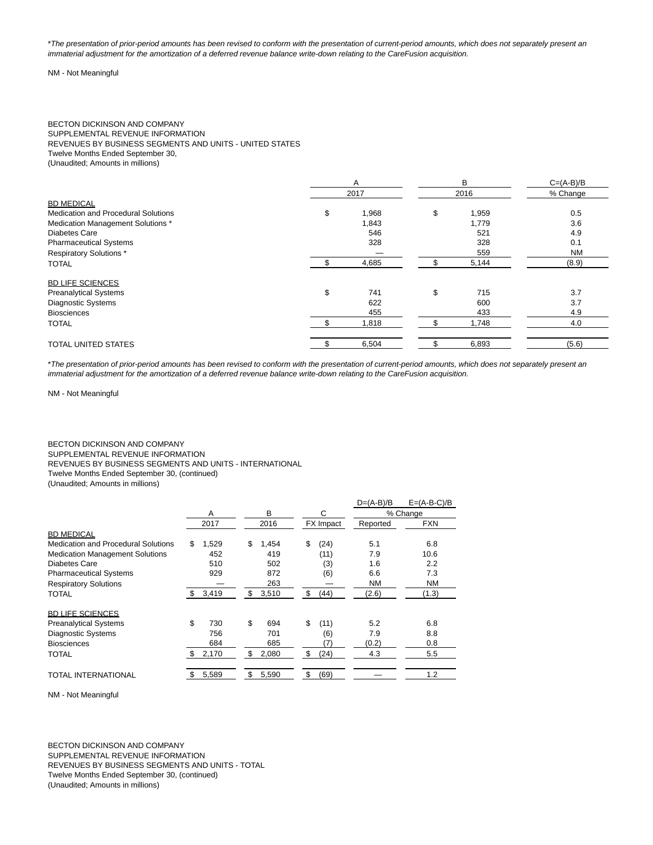\*The presentation of prior-period amounts has been revised to conform with the presentation of current-period amounts, which does not separately present an immaterial adjustment for the amortization of a deferred revenue balance write-down relating to the CareFusion acquisition.

#### NM - Not Meaningful

#### BECTON DICKINSON AND COMPANY SUPPLEMENTAL REVENUE INFORMATION REVENUES BY BUSINESS SEGMENTS AND UNITS - UNITED STATES Twelve Months Ended September 30, (Unaudited; Amounts in millions)

|                                            | A           | B           | $C=(A-B)/B$ |  |  |
|--------------------------------------------|-------------|-------------|-------------|--|--|
|                                            | 2017        | 2016        | % Change    |  |  |
| <b>BD MEDICAL</b>                          |             |             |             |  |  |
| <b>Medication and Procedural Solutions</b> | \$<br>1,968 | \$<br>1,959 | 0.5         |  |  |
| Medication Management Solutions *          | 1,843       | 1.779       | 3.6         |  |  |
| Diabetes Care                              | 546         | 521         | 4.9         |  |  |
| <b>Pharmaceutical Systems</b>              | 328         | 328         | 0.1         |  |  |
| <b>Respiratory Solutions*</b>              |             | 559         | <b>NM</b>   |  |  |
| <b>TOTAL</b>                               | 4,685       | 5,144       | (8.9)       |  |  |
| <b>BD LIFE SCIENCES</b>                    |             |             |             |  |  |
| <b>Preanalytical Systems</b>               | \$<br>741   | \$<br>715   | 3.7         |  |  |
| <b>Diagnostic Systems</b>                  | 622         | 600         | 3.7         |  |  |
| <b>Biosciences</b>                         | 455         | 433         | 4.9         |  |  |
| <b>TOTAL</b>                               | 1,818       | 1,748       | 4.0         |  |  |
| <b>TOTAL UNITED STATES</b>                 | 6,504       | 6,893       | (5.6)       |  |  |

\*The presentation of prior-period amounts has been revised to conform with the presentation of current-period amounts, which does not separately present an immaterial adjustment for the amortization of a deferred revenue balance write-down relating to the CareFusion acquisition.

NM - Not Meaningful

### BECTON DICKINSON AND COMPANY SUPPLEMENTAL REVENUE INFORMATION REVENUES BY BUSINESS SEGMENTS AND UNITS - INTERNATIONAL Twelve Months Ended September 30, (continued) (Unaudited; Amounts in millions)

|                                        |     |       |             |            | $D=(A-B)/B$ | $E=(A-B-C)/B$ |
|----------------------------------------|-----|-------|-------------|------------|-------------|---------------|
|                                        |     | A     | B           | C          |             | % Change      |
|                                        |     | 2017  | 2016        | FX Impact  | Reported    | <b>FXN</b>    |
| <b>BD MEDICAL</b>                      |     |       |             |            |             |               |
| Medication and Procedural Solutions    | \$  | 1,529 | \$<br>1,454 | \$<br>(24) | 5.1         | 6.8           |
| <b>Medication Management Solutions</b> |     | 452   | 419         | (11)       | 7.9         | 10.6          |
| Diabetes Care                          |     | 510   | 502         | (3)        | 1.6         | 2.2           |
| <b>Pharmaceutical Systems</b>          |     | 929   | 872         | (6)        | 6.6         | 7.3           |
| <b>Respiratory Solutions</b>           |     |       | 263         |            | <b>NM</b>   | NM            |
| TOTAL                                  | \$. | 3,419 | \$<br>3,510 | \$<br>(44) | (2.6)       | (1.3)         |
| <b>BD LIFE SCIENCES</b>                |     |       |             |            |             |               |
| <b>Preanalytical Systems</b>           | \$  | 730   | \$<br>694   | \$<br>(11) | 5.2         | 6.8           |
| <b>Diagnostic Systems</b>              |     | 756   | 701         | (6)        | 7.9         | 8.8           |
| <b>Biosciences</b>                     |     | 684   | 685         | '7)        | (0.2)       | 0.8           |
| TOTAL                                  | \$  | 2,170 | \$<br>2,080 | \$<br>(24) | 4.3         | 5.5           |
| TOTAL INTERNATIONAL                    |     | 5,589 | \$<br>5,590 | \$<br>(69) |             | 1.2           |

NM - Not Meaningful

BECTON DICKINSON AND COMPANY SUPPLEMENTAL REVENUE INFORMATION REVENUES BY BUSINESS SEGMENTS AND UNITS - TOTAL Twelve Months Ended September 30, (continued) (Unaudited; Amounts in millions)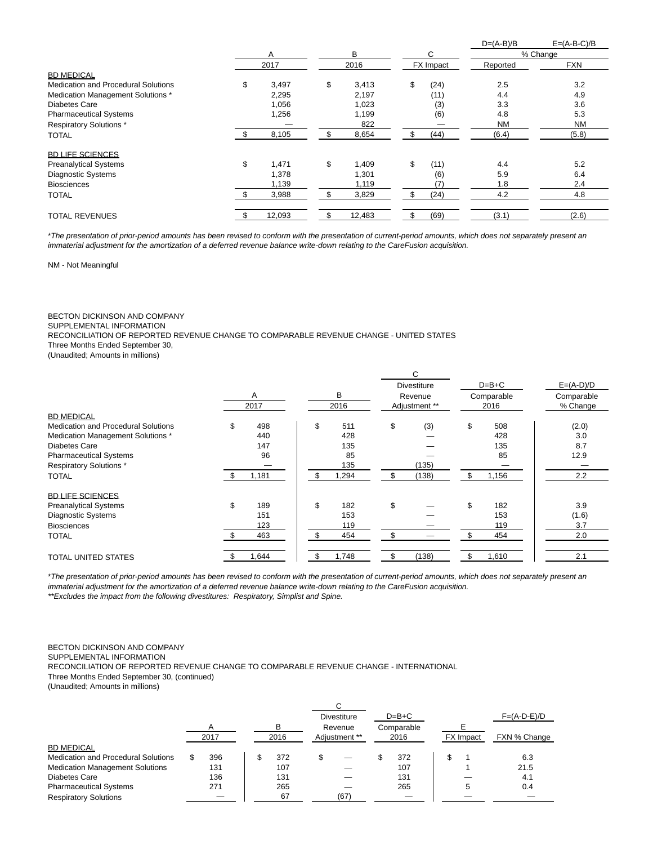|                                            |      |        |              |           |      | $D=(A-B)/B$ | $E=(A-B-C)/B$ |
|--------------------------------------------|------|--------|--------------|-----------|------|-------------|---------------|
|                                            |      | A      | В            |           | C    |             | % Change      |
|                                            | 2017 |        | 2016         | FX Impact |      | Reported    | <b>FXN</b>    |
| <b>BD MEDICAL</b>                          |      |        |              |           |      |             |               |
| <b>Medication and Procedural Solutions</b> | \$   | 3,497  | \$<br>3,413  | \$        | (24) | 2.5         | 3.2           |
| Medication Management Solutions *          |      | 2,295  | 2,197        |           | (11) | 4.4         | 4.9           |
| Diabetes Care                              |      | 1,056  | 1,023        |           | (3)  | 3.3         | 3.6           |
| <b>Pharmaceutical Systems</b>              |      | 1,256  | 1,199        |           | (6)  | 4.8         | 5.3           |
| <b>Respiratory Solutions*</b>              |      |        | 822          |           |      | <b>NM</b>   | <b>NM</b>     |
| <b>TOTAL</b>                               |      | 8,105  | \$<br>8,654  | ж.        | (44) | (6.4)       | (5.8)         |
| <b>BD LIFE SCIENCES</b>                    |      |        |              |           |      |             |               |
| <b>Preanalytical Systems</b>               | \$   | 1,471  | \$<br>1,409  | \$        | (11) | 4.4         | 5.2           |
| <b>Diagnostic Systems</b>                  |      | 1,378  | 1,301        |           | (6)  | 5.9         | 6.4           |
| <b>Biosciences</b>                         |      | 1,139  | 1,119        |           | (7)  | 1.8         | 2.4           |
| <b>TOTAL</b>                               |      | 3,988  | \$<br>3,829  |           | (24) | 4.2         | 4.8           |
| <b>TOTAL REVENUES</b>                      | \$   | 12,093 | \$<br>12,483 | \$        | (69) | (3.1)       | (2.6)         |

\*The presentation of prior-period amounts has been revised to conform with the presentation of current-period amounts, which does not separately present an immaterial adjustment for the amortization of a deferred revenue balance write-down relating to the CareFusion acquisition.

NM - Not Meaningful

### BECTON DICKINSON AND COMPANY

SUPPLEMENTAL INFORMATION

RECONCILIATION OF REPORTED REVENUE CHANGE TO COMPARABLE REVENUE CHANGE - UNITED STATES

Three Months Ended September 30,

(Unaudited; Amounts in millions)

|                                            |               |             | С                  |             |             |  |
|--------------------------------------------|---------------|-------------|--------------------|-------------|-------------|--|
|                                            |               |             | <b>Divestiture</b> | $D=B+C$     | $E=(A-D)/D$ |  |
|                                            | A             | В           | Revenue            | Comparable  | Comparable  |  |
|                                            | 2017          | 2016        | Adjustment **      | 2016        | % Change    |  |
| <b>BD MEDICAL</b>                          |               |             |                    |             |             |  |
| <b>Medication and Procedural Solutions</b> | 498<br>\$     | \$<br>511   | \$<br>(3)          | \$<br>508   | (2.0)       |  |
| Medication Management Solutions *          | 440           | 428         |                    | 428         | 3.0         |  |
| Diabetes Care                              | 147           | 135         |                    | 135         | 8.7         |  |
| <b>Pharmaceutical Systems</b>              | 96            | 85          |                    | 85          | 12.9        |  |
| <b>Respiratory Solutions*</b>              |               | 135         | (135)              |             |             |  |
| <b>TOTAL</b>                               | 1,181<br>- \$ | .294<br>\$. | (138)<br>\$        | \$<br>1,156 | 2.2         |  |
| <b>BD LIFE SCIENCES</b>                    |               |             |                    |             |             |  |
| <b>Preanalytical Systems</b>               | \$<br>189     | \$<br>182   | \$                 | \$<br>182   | 3.9         |  |
| <b>Diagnostic Systems</b>                  | 151           | 153         |                    | 153         | (1.6)       |  |
| <b>Biosciences</b>                         | 123           | 119         |                    | 119         | 3.7         |  |
| <b>TOTAL</b>                               | 463           | ደ<br>454    | \$                 | 454         | 2.0         |  |
| <b>TOTAL UNITED STATES</b>                 | .644          | ,748        | \$<br>(138)        | 1,610       | 2.1         |  |

\*The presentation of prior-period amounts has been revised to conform with the presentation of current-period amounts, which does not separately present an immaterial adjustment for the amortization of a deferred revenue balance write-down relating to the CareFusion acquisition. \*\*Excludes the impact from the following divestitures: Respiratory, Simplist and Spine.

#### BECTON DICKINSON AND COMPANY

SUPPLEMENTAL INFORMATION

RECONCILIATION OF REPORTED REVENUE CHANGE TO COMPARABLE REVENUE CHANGE - INTERNATIONAL

Three Months Ended September 30, (continued)

(Unaudited; Amounts in millions)

|                                            |      |   |      |    | <b>Divestiture</b>       |  | $D=B+C$            |  |           | $F=(A-D-E)/D$ |
|--------------------------------------------|------|---|------|----|--------------------------|--|--------------------|--|-----------|---------------|
|                                            | A    | в |      |    | Revenue<br>Adjustment ** |  | Comparable<br>2016 |  |           |               |
|                                            | 2017 |   | 2016 |    |                          |  |                    |  | FX Impact | FXN % Change  |
| <b>BD MEDICAL</b>                          |      |   |      |    |                          |  |                    |  |           |               |
| <b>Medication and Procedural Solutions</b> | 396  |   | 372  | \$ |                          |  | 372                |  |           | 6.3           |
| <b>Medication Management Solutions</b>     | 131  |   | 107  |    |                          |  | 107                |  |           | 21.5          |
| Diabetes Care                              | 136  |   | 131  |    |                          |  | 131                |  |           | 4.1           |
| <b>Pharmaceutical Systems</b>              | 271  |   | 265  |    |                          |  | 265                |  |           | 0.4           |
| <b>Respiratory Solutions</b>               |      |   | 67   |    | (67)                     |  |                    |  |           |               |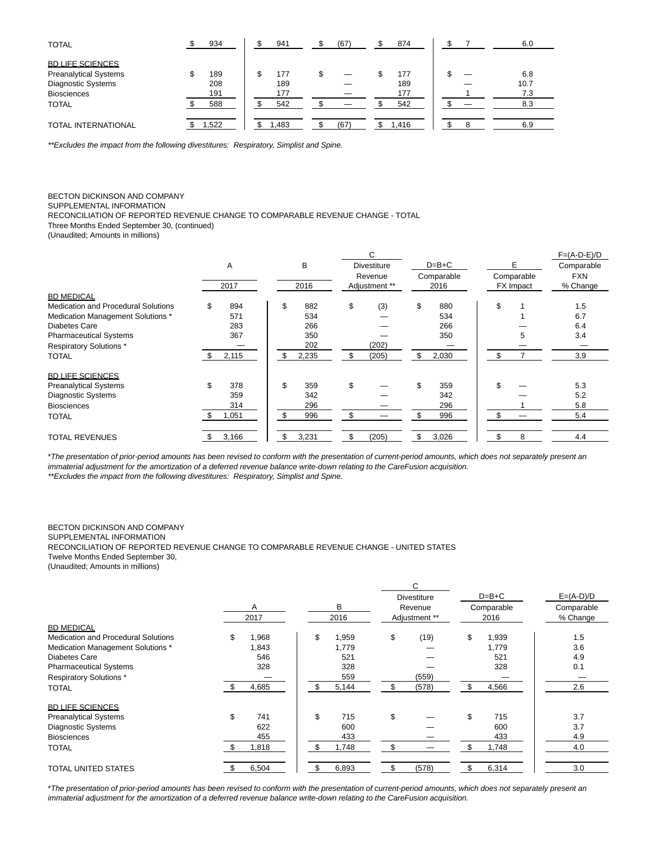| <b>TOTAL</b>                 | 934   | 941  | (67) | 874   |  | 6.0  |
|------------------------------|-------|------|------|-------|--|------|
| <b>BD LIFE SCIENCES</b>      |       |      |      |       |  |      |
| <b>Preanalytical Systems</b> | 189   | 177  |      | 177   |  | 6.8  |
| Diagnostic Systems           | 208   | 189  |      | 189   |  | 10.7 |
| <b>Biosciences</b>           | 191   | 177  |      | 177   |  | 7.3  |
| <b>TOTAL</b>                 | 588   | 542  |      | 542   |  | 8.3  |
|                              |       |      |      |       |  |      |
| <b>TOTAL INTERNATIONAL</b>   | 1,522 | .483 | (67) | 1,416 |  | 6.9  |

\*\*Excludes the impact from the following divestitures: Respiratory, Simplist and Spine.

## BECTON DICKINSON AND COMPANY

SUPPLEMENTAL INFORMATION

RECONCILIATION OF REPORTED REVENUE CHANGE TO COMPARABLE REVENUE CHANGE - TOTAL

Three Months Ended September 30, (continued)

(Unaudited; Amounts in millions)

|                                            |           |             |    | C                  |                       |       |            | $F=(A-D-E)/D$ |
|--------------------------------------------|-----------|-------------|----|--------------------|-----------------------|-------|------------|---------------|
|                                            | A         | B           |    | <b>Divestiture</b> | $D=B+C$<br>Comparable |       |            | Comparable    |
|                                            |           |             |    | Revenue            |                       |       | Comparable | <b>FXN</b>    |
|                                            | 2017      | 2016        |    | Adjustment **      |                       | 2016  | FX Impact  | % Change      |
| <b>BD MEDICAL</b>                          |           |             |    |                    |                       |       |            |               |
| <b>Medication and Procedural Solutions</b> | \$<br>894 | \$<br>882   | \$ | (3)                | \$                    | 880   | \$         | 1.5           |
| Medication Management Solutions *          | 571       | 534         |    |                    |                       | 534   |            | 6.7           |
| Diabetes Care                              | 283       | 266         |    |                    |                       | 266   |            | 6.4           |
| <b>Pharmaceutical Systems</b>              | 367       | 350         |    |                    |                       | 350   | 5          | 3.4           |
| <b>Respiratory Solutions*</b>              |           | 202         |    | (202)              |                       |       |            |               |
| <b>TOTAL</b>                               | 2,115     | \$<br>2,235 | \$ | (205)              | \$                    | 2,030 | \$         | 3.9           |
| <b>BD LIFE SCIENCES</b>                    |           |             |    |                    |                       |       |            |               |
| <b>Preanalytical Systems</b>               | \$<br>378 | \$<br>359   | \$ |                    | \$                    | 359   | \$         | 5.3           |
| <b>Diagnostic Systems</b>                  | 359       | 342         |    |                    |                       | 342   |            | 5.2           |
| <b>Biosciences</b>                         | 314       | 296         |    |                    |                       | 296   |            | 5.8           |
| <b>TOTAL</b>                               | 1,051     | 996         | \$ |                    |                       | 996   | \$         | 5.4           |
| <b>TOTAL REVENUES</b>                      | 3,166     | \$<br>3,231 | \$ | (205)              | \$                    | 3,026 | 8          | 4.4           |

\*The presentation of prior-period amounts has been revised to conform with the presentation of current-period amounts, which does not separately present an immaterial adjustment for the amortization of a deferred revenue balance write-down relating to the CareFusion acquisition. \*\*Excludes the impact from the following divestitures: Respiratory, Simplist and Spine.

## BECTON DICKINSON AND COMPANY

SUPPLEMENTAL INFORMATION

RECONCILIATION OF REPORTED REVENUE CHANGE TO COMPARABLE REVENUE CHANGE - UNITED STATES Twelve Months Ended September 30,

(Unaudited; Amounts in millions)

|                                            |             |              | C.                 |             |             |
|--------------------------------------------|-------------|--------------|--------------------|-------------|-------------|
|                                            |             |              | <b>Divestiture</b> | $D=B+C$     | $E=(A-D)/D$ |
|                                            | Α           | В            | Revenue            | Comparable  | Comparable  |
|                                            | 2017        | 2016         | Adjustment **      | 2016        | % Change    |
| <b>BD MEDICAL</b>                          |             |              |                    |             |             |
| <b>Medication and Procedural Solutions</b> | \$<br>1,968 | \$<br>1,959  | \$<br>(19)         | \$<br>1,939 | 1.5         |
| Medication Management Solutions *          | 1,843       | 1,779        |                    | 1,779       | 3.6         |
| Diabetes Care                              | 546         | 521          |                    | 521         | 4.9         |
| <b>Pharmaceutical Systems</b>              | 328         | 328          |                    | 328         | 0.1         |
| <b>Respiratory Solutions*</b>              |             | 559          | (559)              |             |             |
| <b>TOTAL</b>                               | 4,685       | 5,144        | (578)              | 4,566<br>\$ | 2.6         |
| <b>BD LIFE SCIENCES</b>                    |             |              |                    |             |             |
| <b>Preanalytical Systems</b>               | \$<br>741   | \$<br>715    | \$                 | \$<br>715   | 3.7         |
| <b>Diagnostic Systems</b>                  | 622         | 600          |                    | 600         | 3.7         |
| <b>Biosciences</b>                         | 455         | 433          |                    | 433         | 4.9         |
| TOTAL                                      | 1,818       | 1,748<br>\$. | \$                 | 1,748       | 4.0         |
| <b>TOTAL UNITED STATES</b>                 | 6,504       | 6,893        | \$<br>(578)        | 6,314       | 3.0         |

\*The presentation of prior-period amounts has been revised to conform with the presentation of current-period amounts, which does not separately present an immaterial adjustment for the amortization of a deferred revenue balance write-down relating to the CareFusion acquisition.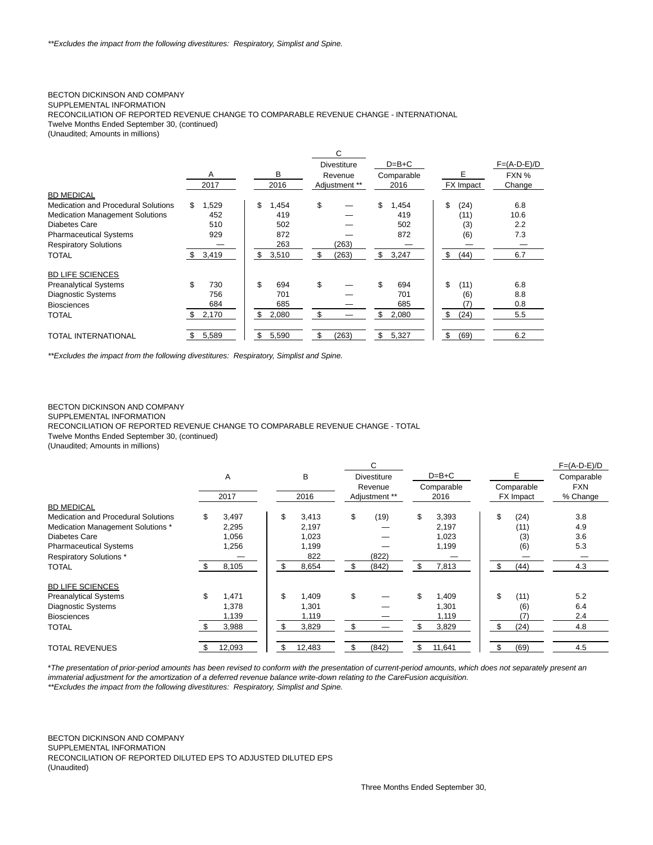## BECTON DICKINSON AND COMPANY

SUPPLEMENTAL INFORMATION

RECONCILIATION OF REPORTED REVENUE CHANGE TO COMPARABLE REVENUE CHANGE - INTERNATIONAL

Twelve Months Ended September 30, (continued)

(Unaudited; Amounts in millions)

|                                        |    |       |             | C                  |    |            |    |           |               |     |
|----------------------------------------|----|-------|-------------|--------------------|----|------------|----|-----------|---------------|-----|
|                                        |    |       |             | <b>Divestiture</b> |    | $D=B+C$    |    |           | $F=(A-D-E)/D$ |     |
|                                        |    | A     | в           | Revenue            |    | Comparable |    | E         | FXN %         |     |
|                                        |    | 2017  | 2016        | Adjustment **      |    | 2016       |    | FX Impact | Change        |     |
| <b>BD MEDICAL</b>                      |    |       |             |                    |    |            |    |           |               |     |
| Medication and Procedural Solutions    | \$ | 1,529 | \$<br>1,454 | \$                 | \$ | 1,454      | \$ | (24)      |               | 6.8 |
| <b>Medication Management Solutions</b> |    | 452   | 419         |                    |    | 419        |    | (11)      | 10.6          |     |
| Diabetes Care                          |    | 510   | 502         |                    |    | 502        |    | (3)       |               | 2.2 |
| <b>Pharmaceutical Systems</b>          |    | 929   | 872         |                    |    | 872        |    | (6)       |               | 7.3 |
| <b>Respiratory Solutions</b>           |    |       | 263         | (263)              |    |            |    |           |               |     |
| <b>TOTAL</b>                           | \$ | 3,419 | \$<br>3,510 | \$<br>(263)        | \$ | 3,247      | \$ | (44)      |               | 6.7 |
| <b>BD LIFE SCIENCES</b>                |    |       |             |                    |    |            |    |           |               |     |
| <b>Preanalytical Systems</b>           | \$ | 730   | \$<br>694   | \$                 | \$ | 694        | \$ | (11)      |               | 6.8 |
| <b>Diagnostic Systems</b>              |    | 756   | 701         |                    |    | 701        |    | (6)       |               | 8.8 |
| <b>Biosciences</b>                     |    | 684   | 685         |                    |    | 685        |    |           |               | 0.8 |
| TOTAL                                  | S. | 2,170 | \$<br>2,080 | \$                 | \$ | 2,080      | \$ | (24)      |               | 5.5 |
| TOTAL INTERNATIONAL                    |    | 5,589 | \$<br>5,590 | \$<br>(263)        | \$ | 5,327      | \$ | (69)      |               | 6.2 |

\*\*Excludes the impact from the following divestitures: Respiratory, Simplist and Spine.

#### BECTON DICKINSON AND COMPANY

SUPPLEMENTAL INFORMATION

RECONCILIATION OF REPORTED REVENUE CHANGE TO COMPARABLE REVENUE CHANGE - TOTAL

Twelve Months Ended September 30, (continued)

(Unaudited; Amounts in millions)

|                                            |      |        |     |        |                               | C             |                       |        |                 |                  | $F=(A-D-E)/D$ |
|--------------------------------------------|------|--------|-----|--------|-------------------------------|---------------|-----------------------|--------|-----------------|------------------|---------------|
|                                            |      | A      |     | B      | <b>Divestiture</b><br>Revenue |               | $D=B+C$<br>Comparable |        | Е<br>Comparable |                  | Comparable    |
|                                            |      |        |     |        |                               |               |                       |        |                 |                  | <b>FXN</b>    |
|                                            |      | 2017   |     | 2016   |                               | Adjustment ** |                       | 2016   |                 | <b>FX</b> Impact | % Change      |
| <b>BD MEDICAL</b>                          |      |        |     |        |                               |               |                       |        |                 |                  |               |
| <b>Medication and Procedural Solutions</b> | \$   | 3,497  | \$  | 3,413  | \$                            | (19)          | \$                    | 3,393  | \$              | (24)             | 3.8           |
| Medication Management Solutions *          |      | 2,295  |     | 2,197  |                               |               |                       | 2,197  |                 | (11)             | 4.9           |
| Diabetes Care                              |      | 1,056  |     | 1,023  |                               |               |                       | 1,023  |                 | (3)              | 3.6           |
| <b>Pharmaceutical Systems</b>              |      | 1,256  |     | 1,199  |                               |               |                       | 1,199  |                 | (6)              | 5.3           |
| <b>Respiratory Solutions*</b>              |      |        |     | 822    |                               | (822)         |                       |        |                 |                  |               |
| <b>TOTAL</b>                               |      | 8,105  | \$. | 8,654  | S                             | (842)         |                       | 7,813  | \$              | (44)             | 4.3           |
| <b>BD LIFE SCIENCES</b>                    |      |        |     |        |                               |               |                       |        |                 |                  |               |
| <b>Preanalytical Systems</b>               | \$   | 1,471  | \$  | 1,409  | \$                            |               |                       | 1,409  | \$              | (11)             | 5.2           |
| <b>Diagnostic Systems</b>                  |      | 1,378  |     | 1,301  |                               |               |                       | 1,301  |                 | (6)              | 6.4           |
| <b>Biosciences</b>                         |      | 1,139  |     | 1,119  |                               |               |                       | 1,119  |                 |                  | 2.4           |
| <b>TOTAL</b>                               |      | 3,988  | \$. | 3,829  | \$                            |               |                       | 3,829  | £.              | (24)             | 4.8           |
| <b>TOTAL REVENUES</b>                      | - \$ | 12,093 | \$  | 12,483 | \$                            | (842)         | \$                    | 11,641 |                 | (69)             | 4.5           |

\*The presentation of prior-period amounts has been revised to conform with the presentation of current-period amounts, which does not separately present an immaterial adjustment for the amortization of a deferred revenue balance write-down relating to the CareFusion acquisition.

\*\*Excludes the impact from the following divestitures: Respiratory, Simplist and Spine.

BECTON DICKINSON AND COMPANY SUPPLEMENTAL INFORMATION RECONCILIATION OF REPORTED DILUTED EPS TO ADJUSTED DILUTED EPS (Unaudited)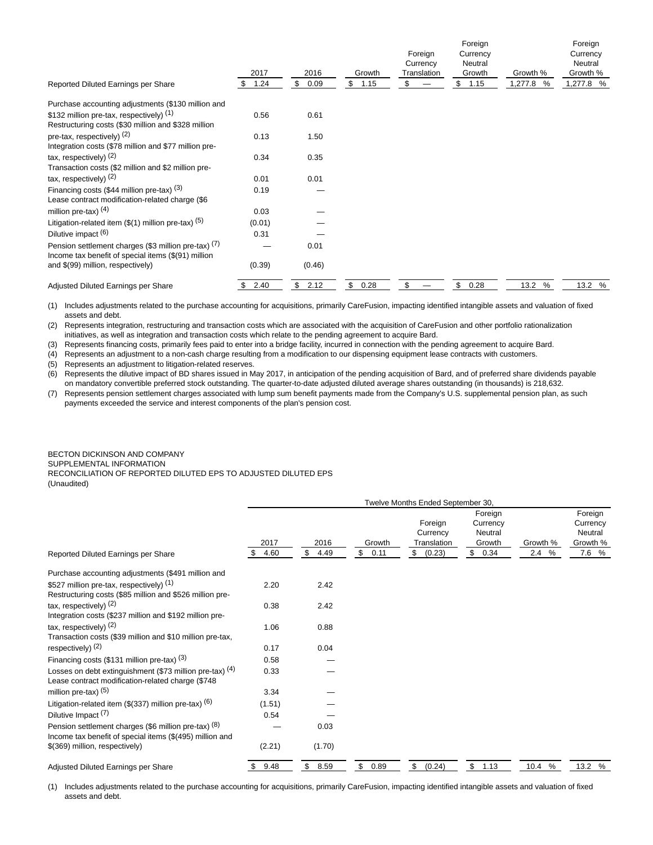| Reported Diluted Earnings per Share                                                                         | 2017<br>1.24<br>S | 2016<br>\$<br>0.09 | Growth<br>\$<br>1.15 | Foreign<br>Currency<br>Translation<br>\$ | Foreign<br>Currency<br>Neutral<br>Growth<br>1.15<br>\$ | Growth %<br>1,277.8<br>% | Foreign<br>Currency<br>Neutral<br>Growth %<br>1,277.8 % |
|-------------------------------------------------------------------------------------------------------------|-------------------|--------------------|----------------------|------------------------------------------|--------------------------------------------------------|--------------------------|---------------------------------------------------------|
| Purchase accounting adjustments (\$130 million and                                                          |                   |                    |                      |                                          |                                                        |                          |                                                         |
| \$132 million pre-tax, respectively) (1)<br>Restructuring costs (\$30 million and \$328 million             | 0.56              | 0.61               |                      |                                          |                                                        |                          |                                                         |
| pre-tax, respectively) $(2)$<br>Integration costs (\$78 million and \$77 million pre-                       | 0.13              | 1.50               |                      |                                          |                                                        |                          |                                                         |
| tax, respectively) $(2)$<br>Transaction costs (\$2 million and \$2 million pre-                             | 0.34              | 0.35               |                      |                                          |                                                        |                          |                                                         |
| tax, respectively) $(2)$                                                                                    | 0.01              | 0.01               |                      |                                          |                                                        |                          |                                                         |
| Financing costs (\$44 million pre-tax) $(3)$<br>Lease contract modification-related charge (\$6             | 0.19              |                    |                      |                                          |                                                        |                          |                                                         |
| million pre-tax) $(4)$                                                                                      | 0.03              |                    |                      |                                          |                                                        |                          |                                                         |
| Litigation-related item $($(1)$ million pre-tax) $(5)$                                                      | (0.01)            |                    |                      |                                          |                                                        |                          |                                                         |
| Dilutive impact (6)                                                                                         | 0.31              |                    |                      |                                          |                                                        |                          |                                                         |
| Pension settlement charges (\$3 million pre-tax) (7)<br>Income tax benefit of special items (\$(91) million |                   | 0.01               |                      |                                          |                                                        |                          |                                                         |
| and \$(99) million, respectively)                                                                           | (0.39)            | (0.46)             |                      |                                          |                                                        |                          |                                                         |
| Adjusted Diluted Earnings per Share                                                                         | 2.40<br>S.        | \$<br>2.12         | \$<br>0.28           | \$                                       | \$<br>0.28                                             | 13.2 %                   | 13.2 %                                                  |

(1) Includes adjustments related to the purchase accounting for acquisitions, primarily CareFusion, impacting identified intangible assets and valuation of fixed assets and debt.

(2) Represents integration, restructuring and transaction costs which are associated with the acquisition of CareFusion and other portfolio rationalization initiatives, as well as integration and transaction costs which relate to the pending agreement to acquire Bard.

(3) Represents financing costs, primarily fees paid to enter into a bridge facility, incurred in connection with the pending agreement to acquire Bard.

(4) Represents an adjustment to a non-cash charge resulting from a modification to our dispensing equipment lease contracts with customers.

(5) Represents an adjustment to litigation-related reserves.

(6) Represents the dilutive impact of BD shares issued in May 2017, in anticipation of the pending acquisition of Bard, and of preferred share dividends payable on mandatory convertible preferred stock outstanding. The quarter-to-date adjusted diluted average shares outstanding (in thousands) is 218,632.

(7) Represents pension settlement charges associated with lump sum benefit payments made from the Company's U.S. supplemental pension plan, as such payments exceeded the service and interest components of the plan's pension cost.

### BECTON DICKINSON AND COMPANY SUPPLEMENTAL INFORMATION RECONCILIATION OF REPORTED DILUTED EPS TO ADJUSTED DILUTED EPS (Unaudited)

|                                                                                                                  | Twelve Months Ended September 30, |            |                      |                                    |                                          |              |                                            |  |  |  |
|------------------------------------------------------------------------------------------------------------------|-----------------------------------|------------|----------------------|------------------------------------|------------------------------------------|--------------|--------------------------------------------|--|--|--|
|                                                                                                                  | 2017                              | 2016       | Growth               | Foreign<br>Currency<br>Translation | Foreign<br>Currency<br>Neutral<br>Growth | Growth %     | Foreign<br>Currency<br>Neutral<br>Growth % |  |  |  |
| Reported Diluted Earnings per Share                                                                              | \$<br>4.60                        | \$<br>4.49 | $\mathbb{S}$<br>0.11 | \$<br>(0.23)                       | \$0.34                                   | 2.4%         | 7.6 %                                      |  |  |  |
| Purchase accounting adjustments (\$491 million and                                                               |                                   |            |                      |                                    |                                          |              |                                            |  |  |  |
| \$527 million pre-tax, respectively) (1)<br>Restructuring costs (\$85 million and \$526 million pre-             | 2.20                              | 2.42       |                      |                                    |                                          |              |                                            |  |  |  |
| tax, respectively) $(2)$<br>Integration costs (\$237 million and \$192 million pre-                              | 0.38                              | 2.42       |                      |                                    |                                          |              |                                            |  |  |  |
| tax, respectively) $(2)$<br>Transaction costs (\$39 million and \$10 million pre-tax,                            | 1.06                              | 0.88       |                      |                                    |                                          |              |                                            |  |  |  |
| respectively) $(2)$                                                                                              | 0.17                              | 0.04       |                      |                                    |                                          |              |                                            |  |  |  |
| Financing costs (\$131 million pre-tax) $(3)$                                                                    | 0.58                              |            |                      |                                    |                                          |              |                                            |  |  |  |
| Losses on debt extinguishment (\$73 million pre-tax) $(4)$<br>Lease contract modification-related charge (\$748  | 0.33                              |            |                      |                                    |                                          |              |                                            |  |  |  |
| million pre-tax) $(5)$                                                                                           | 3.34                              |            |                      |                                    |                                          |              |                                            |  |  |  |
| Litigation-related item (\$(337) million pre-tax) (6)                                                            | (1.51)                            |            |                      |                                    |                                          |              |                                            |  |  |  |
| Dilutive Impact $(7)$                                                                                            | 0.54                              |            |                      |                                    |                                          |              |                                            |  |  |  |
| Pension settlement charges (\$6 million pre-tax) (8)<br>Income tax benefit of special items (\$(495) million and |                                   | 0.03       |                      |                                    |                                          |              |                                            |  |  |  |
| \$(369) million, respectively)                                                                                   | (2.21)                            | (1.70)     |                      |                                    |                                          |              |                                            |  |  |  |
| Adjusted Diluted Earnings per Share                                                                              | 9.48<br>\$.                       | \$<br>8.59 | \$<br>0.89           | \$<br>(0.24)                       | $\mathbb{S}$<br>1.13                     | 10.4<br>$\%$ | 13.2 %                                     |  |  |  |

(1) Includes adjustments related to the purchase accounting for acquisitions, primarily CareFusion, impacting identified intangible assets and valuation of fixed assets and debt.